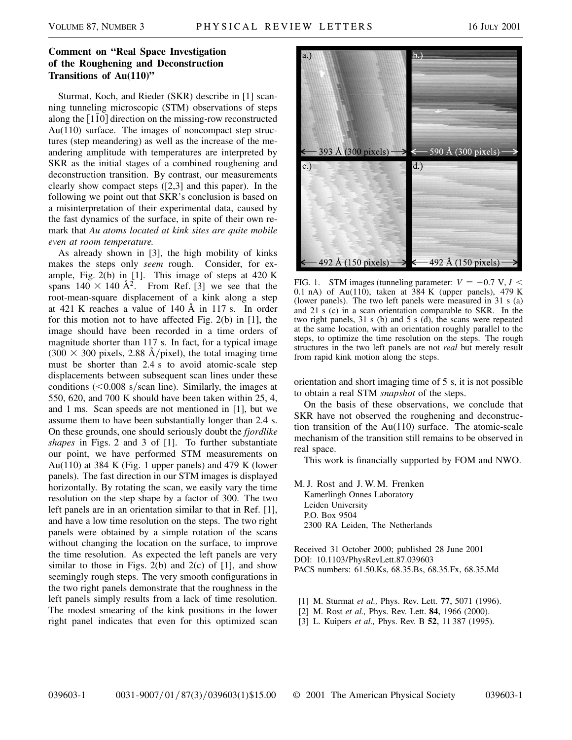## **Comment on "Real Space Investigation of the Roughening and Deconstruction Transitions of Au(110)"**

Sturmat, Koch, and Rieder (SKR) describe in [1] scanning tunneling microscopic (STM) observations of steps along the  $[1\bar{1}0]$  direction on the missing-row reconstructed Au(110) surface. The images of noncompact step structures (step meandering) as well as the increase of the meandering amplitude with temperatures are interpreted by SKR as the initial stages of a combined roughening and deconstruction transition. By contrast, our measurements clearly show compact steps ([2,3] and this paper). In the following we point out that SKR's conclusion is based on a misinterpretation of their experimental data, caused by the fast dynamics of the surface, in spite of their own remark that *Au atoms located at kink sites are quite mobile even at room temperature.*

As already shown in [3], the high mobility of kinks makes the steps only *seem* rough. Consider, for example, Fig.  $2(b)$  in [1]. This image of steps at  $420$  K spans  $140 \times 140 \text{ Å}^2$ . From Ref. [3] we see that the root-mean-square displacement of a kink along a step at 421 K reaches a value of 140 Å in 117 s. In order for this motion not to have affected Fig. 2(b) in [1], the image should have been recorded in a time orders of magnitude shorter than 117 s. In fact, for a typical image  $(300 \times 300 \text{ pixels}, 2.88 \text{ Å/pixel})$ , the total imaging time must be shorter than 2.4 s to avoid atomic-scale step displacements between subsequent scan lines under these conditions  $(<0.008$  s/scan line). Similarly, the images at 550, 620, and 700 K should have been taken within 25, 4, and 1 ms. Scan speeds are not mentioned in [1], but we assume them to have been substantially longer than 2.4 s. On these grounds, one should seriously doubt the *fjordlike shapes* in Figs. 2 and 3 of [1]. To further substantiate our point, we have performed STM measurements on Au(110) at 384 K (Fig. 1 upper panels) and 479 K (lower panels). The fast direction in our STM images is displayed horizontally. By rotating the scan, we easily vary the time resolution on the step shape by a factor of 300. The two left panels are in an orientation similar to that in Ref. [1], and have a low time resolution on the steps. The two right panels were obtained by a simple rotation of the scans without changing the location on the surface, to improve the time resolution. As expected the left panels are very similar to those in Figs. 2(b) and 2(c) of  $[1]$ , and show seemingly rough steps. The very smooth configurations in the two right panels demonstrate that the roughness in the left panels simply results from a lack of time resolution. The modest smearing of the kink positions in the lower right panel indicates that even for this optimized scan



FIG. 1. STM images (tunneling parameter:  $V = -0.7$  V,  $I <$ 0.1 nA) of Au(110), taken at  $384$  K (upper panels), 479 K (lower panels). The two left panels were measured in 31 s (a) and 21 s (c) in a scan orientation comparable to SKR. In the two right panels, 31 s (b) and 5 s (d), the scans were repeated at the same location, with an orientation roughly parallel to the steps, to optimize the time resolution on the steps. The rough structures in the two left panels are not *real* but merely result from rapid kink motion along the steps.

orientation and short imaging time of 5 s, it is not possible to obtain a real STM *snapshot* of the steps.

On the basis of these observations, we conclude that SKR have not observed the roughening and deconstruction transition of the Au(110) surface. The atomic-scale mechanism of the transition still remains to be observed in real space.

This work is financially supported by FOM and NWO.

M. J. Rost and J. W. M. Frenken Kamerlingh Onnes Laboratory Leiden University P.O. Box 9504 2300 RA Leiden, The Netherlands

Received 31 October 2000; published 28 June 2001 DOI: 10.1103/PhysRevLett.87.039603 PACS numbers: 61.50.Ks, 68.35.Bs, 68.35.Fx, 68.35.Md

- [1] M. Sturmat *et al.,* Phys. Rev. Lett. **77**, 5071 (1996).
- [2] M. Rost *et al.,* Phys. Rev. Lett. **84**, 1966 (2000).
- [3] L. Kuipers *et al.,* Phys. Rev. B **52**, 11 387 (1995).